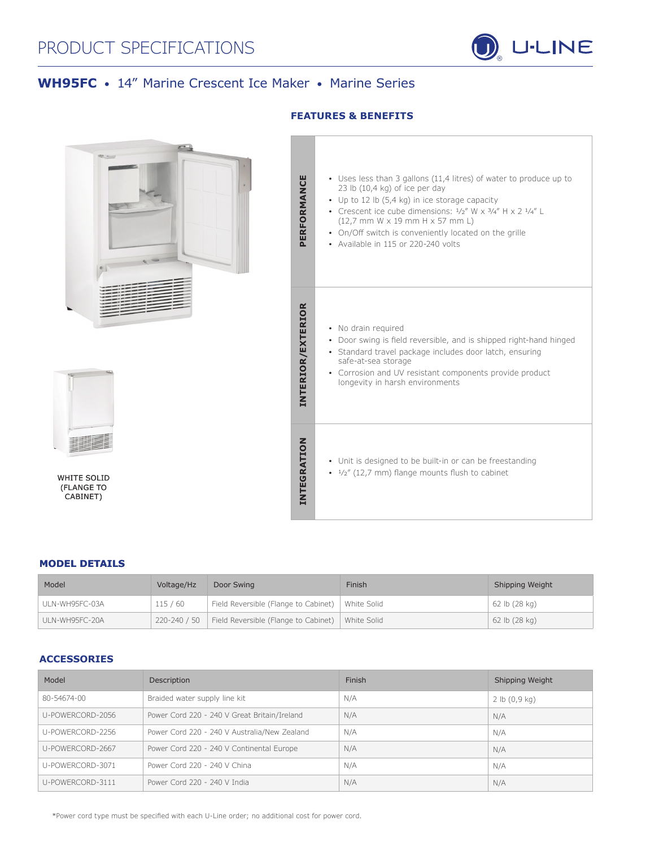# PRODUCT SPECIFICATIONS



## **WH95FC** • 14" Marine Crescent Ice Maker • Marine Series



#### **MODEL DETAILS**

| Model          | Voltage/Hz   | Door Swing                                         | Finish      | Shipping Weight |
|----------------|--------------|----------------------------------------------------|-------------|-----------------|
| ULN-WH95FC-03A | 115/60       | Field Reversible (Flange to Cabinet)   White Solid |             | 62 lb (28 kg)   |
| ULN-WH95FC-20A | 220-240 / 50 | Field Reversible (Flange to Cabinet)               | White Solid | 62 lb (28 kg)   |

## **ACCESSORIES**

| Model            | Description                                  | Finish | Shipping Weight |
|------------------|----------------------------------------------|--------|-----------------|
| 80-54674-00      | Braided water supply line kit                | N/A    | 2 lb (0, 9 kg)  |
| U-POWERCORD-2056 | Power Cord 220 - 240 V Great Britain/Ireland | N/A    | N/A             |
| U-POWERCORD-2256 | Power Cord 220 - 240 V Australia/New Zealand | N/A    | N/A             |
| U-POWERCORD-2667 | Power Cord 220 - 240 V Continental Europe    | N/A    | N/A             |
| U-POWERCORD-3071 | Power Cord 220 - 240 V China                 | N/A    | N/A             |
| U-POWERCORD-3111 | Power Cord 220 - 240 V India                 | N/A    | N/A             |

\*Power cord type must be specified with each U-Line order; no additional cost for power cord.

## **FEATURES & BENEFITS**